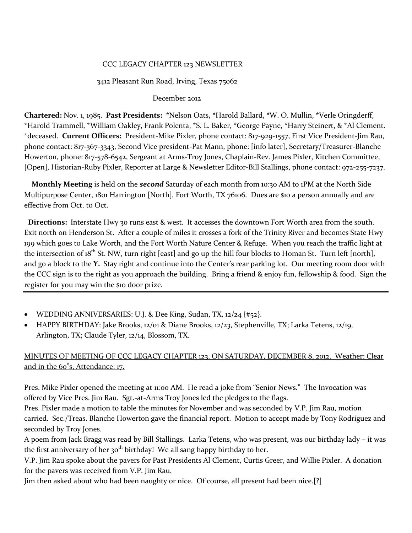## CCC LEGACY CHAPTER 123 NEWSLETTER

# 3412 Pleasant Run Road, Irving, Texas 75062

## December 2012

**Chartered:** Nov. 1, 1985. **Past Presidents:** \*Nelson Oats, \*Harold Ballard, \*W. O. Mullin, \*Verle Oringderff, \*Harold Trammell, \*William Oakley, Frank Polenta, \*S. L. Baker, \*George Payne, \*Harry Steinert, & \*Al Clement. \*deceased. **Current Officers:** President-Mike Pixler, phone contact: 817-929-1557, First Vice President-Jim Rau, phone contact: 817-367-3343, Second Vice president-Pat Mann, phone: [info later], Secretary/Treasurer-Blanche Howerton, phone: 817-578-6542, Sergeant at Arms-Troy Jones, Chaplain-Rev. James Pixler, Kitchen Committee, [Open], Historian-Ruby Pixler, Reporter at Large & Newsletter Editor-Bill Stallings, phone contact: 972-255-7237.

 **Monthly Meeting** is held on the *second* Saturday of each month from 10:30 AM to 1PM at the North Side Multipurpose Center, 1801 Harrington [North], Fort Worth, TX 76106. Dues are \$10 a person annually and are effective from Oct. to Oct.

 **Directions:** Interstate Hwy 30 runs east & west. It accesses the downtown Fort Worth area from the south. Exit north on Henderson St. After a couple of miles it crosses a fork of the Trinity River and becomes State Hwy 199 which goes to Lake Worth, and the Fort Worth Nature Center & Refuge. When you reach the traffic light at the intersection of  $18^{th}$  St. NW, turn right [east] and go up the hill four blocks to Homan St. Turn left [north], and go a block to the **Y.** Stay right and continue into the Center's rear parking lot. Our meeting room door with the CCC sign is to the right as you approach the building. Bring a friend & enjoy fun, fellowship & food. Sign the register for you may win the \$10 door prize.

- WEDDING ANNIVERSARIES: U.J. & Dee King, Sudan, TX, 12/24 {#52}.
- HAPPY BIRTHDAY: Jake Brooks, 12/01 & Diane Brooks, 12/23, Stephenville, TX; Larka Tetens, 12/19, Arlington, TX; Claude Tyler, 12/14, Blossom, TX.

# MINUTES OF MEETING OF CCC LEGACY CHAPTER 123, ON SATURDAY, DECEMBER 8, 2012. Weather: Clear and in the 60°s, Attendance: 17.

Pres. Mike Pixler opened the meeting at 11:00 AM. He read a joke from "Senior News." The Invocation was offered by Vice Pres. Jim Rau. Sgt.-at-Arms Troy Jones led the pledges to the flags.

Pres. Pixler made a motion to table the minutes for November and was seconded by V.P. Jim Rau, motion carried. Sec./Treas. Blanche Howerton gave the financial report. Motion to accept made by Tony Rodriguez and seconded by Troy Jones.

A poem from Jack Bragg was read by Bill Stallings. Larka Tetens, who was present, was our birthday lady – it was the first anniversary of her  $30<sup>th</sup>$  birthday! We all sang happy birthday to her.

V.P. Jim Rau spoke about the pavers for Past Presidents Al Clement, Curtis Greer, and Willie Pixler. A donation for the pavers was received from V.P. Jim Rau.

Jim then asked about who had been naughty or nice. Of course, all present had been nice.[?]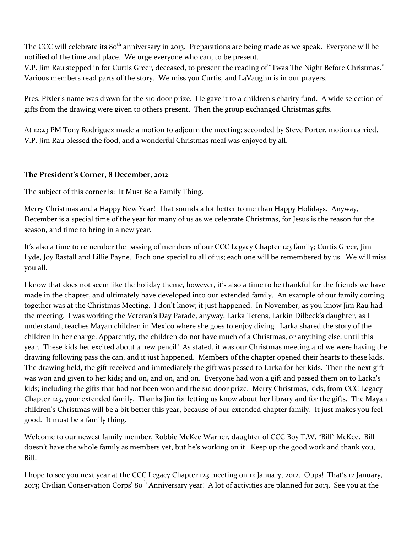The CCC will celebrate its 80<sup>th</sup> anniversary in 2013. Preparations are being made as we speak. Everyone will be notified of the time and place. We urge everyone who can, to be present.

V.P. Jim Rau stepped in for Curtis Greer, deceased, to present the reading of "Twas The Night Before Christmas." Various members read parts of the story. We miss you Curtis, and LaVaughn is in our prayers.

Pres. Pixler's name was drawn for the \$10 door prize. He gave it to a children's charity fund. A wide selection of gifts from the drawing were given to others present. Then the group exchanged Christmas gifts.

At 12:23 PM Tony Rodriguez made a motion to adjourn the meeting; seconded by Steve Porter, motion carried. V.P. Jim Rau blessed the food, and a wonderful Christmas meal was enjoyed by all.

## **The President's Corner, 8 December, 2012**

The subject of this corner is: It Must Be a Family Thing.

Merry Christmas and a Happy New Year! That sounds a lot better to me than Happy Holidays. Anyway, December is a special time of the year for many of us as we celebrate Christmas, for Jesus is the reason for the season, and time to bring in a new year.

It's also a time to remember the passing of members of our CCC Legacy Chapter 123 family; Curtis Greer, Jim Lyde, Joy Rastall and Lillie Payne. Each one special to all of us; each one will be remembered by us. We will miss you all.

I know that does not seem like the holiday theme, however, it's also a time to be thankful for the friends we have made in the chapter, and ultimately have developed into our extended family. An example of our family coming together was at the Christmas Meeting. I don't know; it just happened. In November, as you know Jim Rau had the meeting. I was working the Veteran's Day Parade, anyway, Larka Tetens, Larkin Dilbeck's daughter, as I understand, teaches Mayan children in Mexico where she goes to enjoy diving. Larka shared the story of the children in her charge. Apparently, the children do not have much of a Christmas, or anything else, until this year. These kids het excited about a new pencil! As stated, it was our Christmas meeting and we were having the drawing following pass the can, and it just happened. Members of the chapter opened their hearts to these kids. The drawing held, the gift received and immediately the gift was passed to Larka for her kids. Then the next gift was won and given to her kids; and on, and on, and on. Everyone had won a gift and passed them on to Larka's kids; including the gifts that had not been won and the \$10 door prize. Merry Christmas, kids, from CCC Legacy Chapter 123, your extended family. Thanks Jim for letting us know about her library and for the gifts. The Mayan children's Christmas will be a bit better this year, because of our extended chapter family. It just makes you feel good. It must be a family thing.

Welcome to our newest family member, Robbie McKee Warner, daughter of CCC Boy T.W. "Bill" McKee. Bill doesn't have the whole family as members yet, but he's working on it. Keep up the good work and thank you, Bill.

I hope to see you next year at the CCC Legacy Chapter 123 meeting on 12 January, 2012. Opps! That's 12 January, 2013; Civilian Conservation Corps' 80<sup>th</sup> Anniversary year! A lot of activities are planned for 2013. See you at the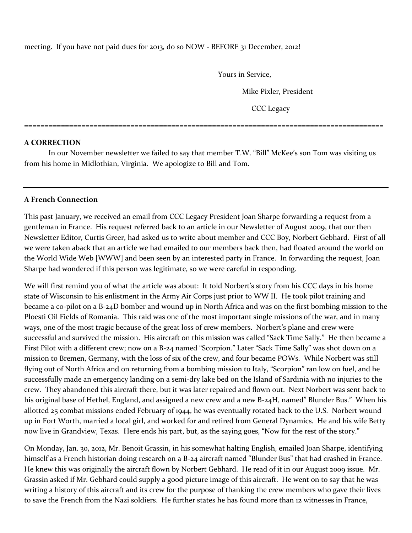## meeting. If you have not paid dues for 2013, do so NOW - BEFORE 31 December, 2012!

Yours in Service,

Mike Pixler, President

CCC Legacy

#### **A CORRECTION**

In our November newsletter we failed to say that member T.W. "Bill" McKee's son Tom was visiting us from his home in Midlothian, Virginia. We apologize to Bill and Tom.

========================================================================================

## **A French Connection**

This past January, we received an email from CCC Legacy President Joan Sharpe forwarding a request from a gentleman in France. His request referred back to an article in our Newsletter of August 2009, that our then Newsletter Editor, Curtis Greer, had asked us to write about member and CCC Boy, Norbert Gebhard. First of all we were taken aback that an article we had emailed to our members back then, had floated around the world on the World Wide Web [WWW] and been seen by an interested party in France. In forwarding the request, Joan Sharpe had wondered if this person was legitimate, so we were careful in responding.

We will first remind you of what the article was about: It told Norbert's story from his CCC days in his home state of Wisconsin to his enlistment in the Army Air Corps just prior to WW II. He took pilot training and became a co-pilot on a B-24D bomber and wound up in North Africa and was on the first bombing mission to the Ploesti Oil Fields of Romania. This raid was one of the most important single missions of the war, and in many ways, one of the most tragic because of the great loss of crew members. Norbert's plane and crew were successful and survived the mission. His aircraft on this mission was called "Sack Time Sally." He then became a First Pilot with a different crew; now on a B-24 named "Scorpion." Later "Sack Time Sally" was shot down on a mission to Bremen, Germany, with the loss of six of the crew, and four became POWs. While Norbert was still flying out of North Africa and on returning from a bombing mission to Italy, "Scorpion" ran low on fuel, and he successfully made an emergency landing on a semi-dry lake bed on the Island of Sardinia with no injuries to the crew. They abandoned this aircraft there, but it was later repaired and flown out. Next Norbert was sent back to his original base of Hethel, England, and assigned a new crew and a new B-24H, named" Blunder Bus." When his allotted 25 combat missions ended February of 1944, he was eventually rotated back to the U.S. Norbert wound up in Fort Worth, married a local girl, and worked for and retired from General Dynamics. He and his wife Betty now live in Grandview, Texas. Here ends his part, but, as the saying goes, "Now for the rest of the story."

On Monday, Jan. 30, 2012, Mr. Benoit Grassin, in his somewhat halting English, emailed Joan Sharpe, identifying himself as a French historian doing research on a B-24 aircraft named "Blunder Bus" that had crashed in France. He knew this was originally the aircraft flown by Norbert Gebhard. He read of it in our August 2009 issue. Mr. Grassin asked if Mr. Gebhard could supply a good picture image of this aircraft. He went on to say that he was writing a history of this aircraft and its crew for the purpose of thanking the crew members who gave their lives to save the French from the Nazi soldiers. He further states he has found more than 12 witnesses in France,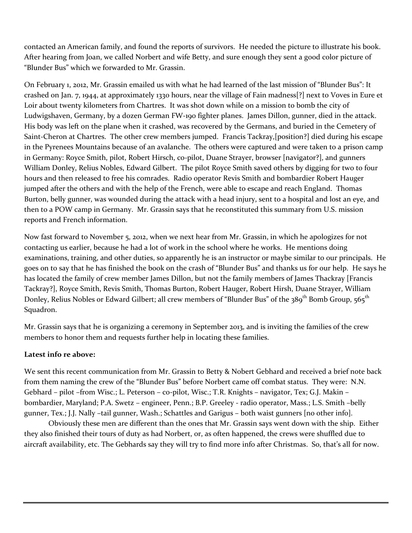contacted an American family, and found the reports of survivors. He needed the picture to illustrate his book. After hearing from Joan, we called Norbert and wife Betty, and sure enough they sent a good color picture of "Blunder Bus" which we forwarded to Mr. Grassin.

On February 1, 2012, Mr. Grassin emailed us with what he had learned of the last mission of "Blunder Bus": It crashed on Jan. 7, 1944, at approximately 1330 hours, near the village of Fain madness[?] next to Voves in Eure et Loir about twenty kilometers from Chartres. It was shot down while on a mission to bomb the city of Ludwigshaven, Germany, by a dozen German FW-190 fighter planes. James Dillon, gunner, died in the attack. His body was left on the plane when it crashed, was recovered by the Germans, and buried in the Cemetery of Saint-Cheron at Chartres. The other crew members jumped. Francis Tackray,[position?] died during his escape in the Pyrenees Mountains because of an avalanche. The others were captured and were taken to a prison camp in Germany: Royce Smith, pilot, Robert Hirsch, co-pilot, Duane Strayer, browser [navigator?], and gunners William Donley, Relius Nobles, Edward Gilbert. The pilot Royce Smith saved others by digging for two to four hours and then released to free his comrades. Radio operator Revis Smith and bombardier Robert Hauger jumped after the others and with the help of the French, were able to escape and reach England. Thomas Burton, belly gunner, was wounded during the attack with a head injury, sent to a hospital and lost an eye, and then to a POW camp in Germany. Mr. Grassin says that he reconstituted this summary from U.S. mission reports and French information.

Now fast forward to November 5, 2012, when we next hear from Mr. Grassin, in which he apologizes for not contacting us earlier, because he had a lot of work in the school where he works. He mentions doing examinations, training, and other duties, so apparently he is an instructor or maybe similar to our principals. He goes on to say that he has finished the book on the crash of "Blunder Bus" and thanks us for our help. He says he has located the family of crew member James Dillon, but not the family members of James Thackray [Francis Tackray?], Royce Smith, Revis Smith, Thomas Burton, Robert Hauger, Robert Hirsh, Duane Strayer, William Donley, Relius Nobles or Edward Gilbert; all crew members of "Blunder Bus" of the 389<sup>th</sup> Bomb Group, 565<sup>th</sup> Squadron.

Mr. Grassin says that he is organizing a ceremony in September 2013, and is inviting the families of the crew members to honor them and requests further help in locating these families.

# **Latest info re above:**

We sent this recent communication from Mr. Grassin to Betty & Nobert Gebhard and received a brief note back from them naming the crew of the "Blunder Bus" before Norbert came off combat status. They were: N.N. Gebhard – pilot –from Wisc.; L. Peterson – co-pilot, Wisc.; T.R. Knights – navigator, Tex; G.J. Makin – bombardier, Maryland; P.A. Swetz – engineer, Penn.; B.P. Greeley - radio operator, Mass.; L.S. Smith –belly gunner, Tex.; J.J. Nally –tail gunner, Wash.; Schattles and Garigus – both waist gunners [no other info].

Obviously these men are different than the ones that Mr. Grassin says went down with the ship. Either they also finished their tours of duty as had Norbert, or, as often happened, the crews were shuffled due to aircraft availability, etc. The Gebhards say they will try to find more info after Christmas. So, that's all for now.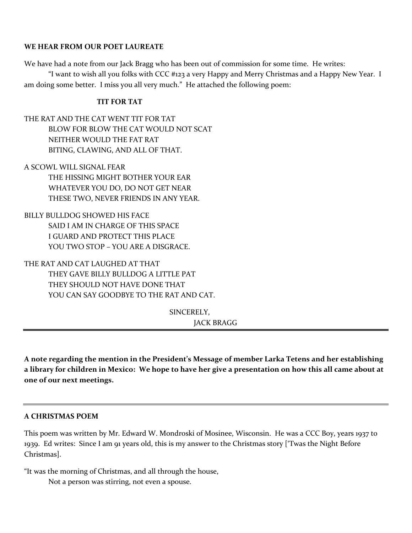#### **WE HEAR FROM OUR POET LAUREATE**

We have had a note from our Jack Bragg who has been out of commission for some time. He writes:

"I want to wish all you folks with CCC #123 a very Happy and Merry Christmas and a Happy New Year. I am doing some better. I miss you all very much." He attached the following poem:

# **TIT FOR TAT**

THE RAT AND THE CAT WENT TIT FOR TAT BLOW FOR BLOW THE CAT WOULD NOT SCAT NEITHER WOULD THE FAT RAT BITING, CLAWING, AND ALL OF THAT.

A SCOWL WILL SIGNAL FEAR THE HISSING MIGHT BOTHER YOUR EAR WHATEVER YOU DO, DO NOT GET NEAR THESE TWO, NEVER FRIENDS IN ANY YEAR.

BILLY BULLDOG SHOWED HIS FACE SAID I AM IN CHARGE OF THIS SPACE I GUARD AND PROTECT THIS PLACE YOU TWO STOP – YOU ARE A DISGRACE.

# THE RAT AND CAT LAUGHED AT THAT

THEY GAVE BILLY BULLDOG A LITTLE PAT THEY SHOULD NOT HAVE DONE THAT YOU CAN SAY GOODBYE TO THE RAT AND CAT.

> SINCERELY, JACK BRAGG

**A note regarding the mention in the President's Message of member Larka Tetens and her establishing a library for children in Mexico: We hope to have her give a presentation on how this all came about at one of our next meetings.**

# **A CHRISTMAS POEM**

This poem was written by Mr. Edward W. Mondroski of Mosinee, Wisconsin. He was a CCC Boy, years 1937 to 1939. Ed writes: Since I am 91 years old, this is my answer to the Christmas story ['Twas the Night Before Christmas].

"It was the morning of Christmas, and all through the house,

Not a person was stirring, not even a spouse.